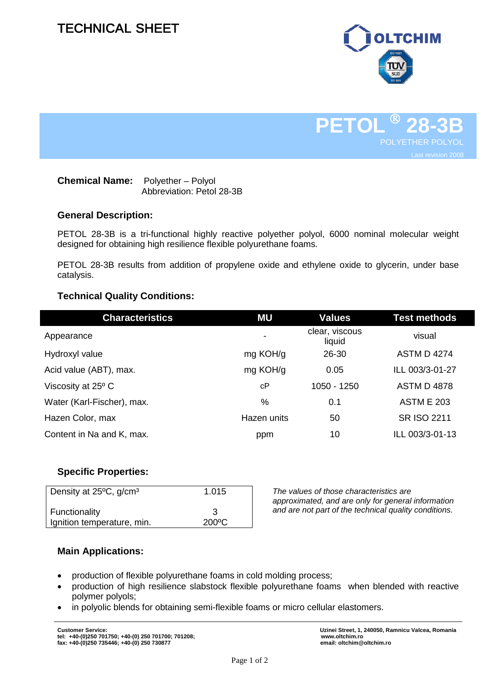# TECHNICAL SHEET





### **Chemical Name:** Polyether – Polyol Abbreviation: Petol 28-3B

# **General Description:**

PETOL 28-3B is a tri-functional highly reactive polyether polyol, 6000 nominal molecular weight designed for obtaining high resilience flexible polyurethane foams.

PETOL 28-3B results from addition of propylene oxide and ethylene oxide to glycerin, under base catalysis.

# **Technical Quality Conditions:**

| <b>Characteristics</b>     | ΜU          | <b>Values</b>            | <b>Test methods</b> |
|----------------------------|-------------|--------------------------|---------------------|
| Appearance                 |             | clear, viscous<br>liquid | visual              |
| Hydroxyl value             | mg KOH/g    | 26-30                    | <b>ASTM D 4274</b>  |
| Acid value (ABT), max.     | mg KOH/g    | 0.05                     | ILL 003/3-01-27     |
| Viscosity at 25° C         | cP          | 1050 - 1250              | <b>ASTM D 4878</b>  |
| Water (Karl-Fischer), max. | %           | 0.1                      | <b>ASTM E 203</b>   |
| Hazen Color, max           | Hazen units | 50                       | <b>SR ISO 2211</b>  |
| Content in Na and K, max.  | ppm         | 10                       | ILL 003/3-01-13     |

# **Specific Properties:**

| Density at 25°C, g/cm <sup>3</sup> | 1.015 |
|------------------------------------|-------|
|                                    |       |
|                                    |       |
| Functionality                      | 3     |
|                                    |       |
| Ignition temperature, min.         | 200°C |
|                                    |       |

*The values of those characteristics are approximated, and are only for general information and are not part of the technical quality conditions.*

# **Main Applications:**

- production of flexible polyurethane foams in cold molding process;
- production of high resilience slabstock flexible polyurethane foams when blended with reactive polymer polyols;
- in polyolic blends for obtaining semi-flexible foams or micro cellular elastomers.

**Customer Service: Uzinei Street, 1, 240050, Ramnicu Valcea, Romania**